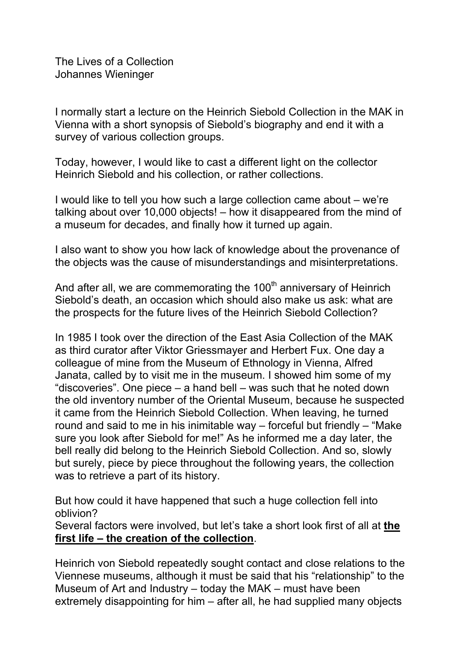The Lives of a Collection Johannes Wieninger

I normally start a lecture on the Heinrich Siebold Collection in the MAK in Vienna with a short synopsis of Siebold's biography and end it with a survey of various collection groups.

Today, however, I would like to cast a different light on the collector Heinrich Siebold and his collection, or rather collections.

I would like to tell you how such a large collection came about – we're talking about over 10,000 objects! – how it disappeared from the mind of a museum for decades, and finally how it turned up again.

I also want to show you how lack of knowledge about the provenance of the objects was the cause of misunderstandings and misinterpretations.

And after all, we are commemorating the 100<sup>th</sup> anniversary of Heinrich Siebold's death, an occasion which should also make us ask: what are the prospects for the future lives of the Heinrich Siebold Collection?

In 1985 I took over the direction of the East Asia Collection of the MAK as third curator after Viktor Griessmayer and Herbert Fux. One day a colleague of mine from the Museum of Ethnology in Vienna, Alfred Janata, called by to visit me in the museum. I showed him some of my "discoveries". One piece – a hand bell – was such that he noted down the old inventory number of the Oriental Museum, because he suspected it came from the Heinrich Siebold Collection. When leaving, he turned round and said to me in his inimitable way – forceful but friendly – "Make sure you look after Siebold for me!" As he informed me a day later, the bell really did belong to the Heinrich Siebold Collection. And so, slowly but surely, piece by piece throughout the following years, the collection was to retrieve a part of its history.

But how could it have happened that such a huge collection fell into oblivion?

Several factors were involved, but let's take a short look first of all at **the first life – the creation of the collection**.

Heinrich von Siebold repeatedly sought contact and close relations to the Viennese museums, although it must be said that his "relationship" to the Museum of Art and Industry – today the MAK – must have been extremely disappointing for him – after all, he had supplied many objects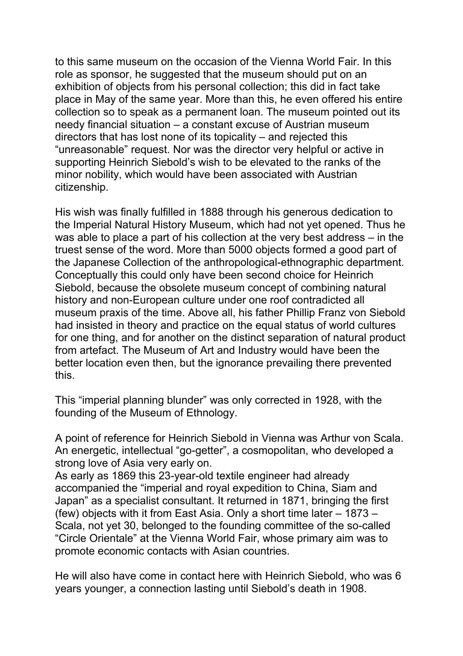to this same museum on the occasion of the Vienna World Fair. In this role as sponsor, he suggested that the museum should put on an exhibition of objects from his personal collection; this did in fact take place in May of the same year. More than this, he even offered his entire collection so to speak as a permanent loan. The museum pointed out its needy financial situation – a constant excuse of Austrian museum directors that has lost none of its topicality – and rejected this "unreasonable" request. Nor was the director very helpful or active in supporting Heinrich Siebold's wish to be elevated to the ranks of the minor nobility, which would have been associated with Austrian citizenship.

His wish was finally fulfilled in 1888 through his generous dedication to the Imperial Natural History Museum, which had not yet opened. Thus he was able to place a part of his collection at the very best address – in the truest sense of the word. More than 5000 objects formed a good part of the Japanese Collection of the anthropological-ethnographic department. Conceptually this could only have been second choice for Heinrich Siebold, because the obsolete museum concept of combining natural history and non-European culture under one roof contradicted all museum praxis of the time. Above all, his father Phillip Franz von Siebold had insisted in theory and practice on the equal status of world cultures for one thing, and for another on the distinct separation of natural product from artefact. The Museum of Art and Industry would have been the better location even then, but the ignorance prevailing there prevented this.

This "imperial planning blunder" was only corrected in 1928, with the founding of the Museum of Ethnology.

A point of reference for Heinrich Siebold in Vienna was Arthur von Scala. An energetic, intellectual "go-getter", a cosmopolitan, who developed a strong love of Asia very early on.

As early as 1869 this 23-year-old textile engineer had already accompanied the "imperial and royal expedition to China, Siam and Japan" as a specialist consultant. It returned in 1871, bringing the first (few) objects with it from East Asia. Only a short time later – 1873 – Scala, not yet 30, belonged to the founding committee of the so-called "Circle Orientale" at the Vienna World Fair, whose primary aim was to promote economic contacts with Asian countries.

He will also have come in contact here with Heinrich Siebold, who was 6 years younger, a connection lasting until Siebold's death in 1908.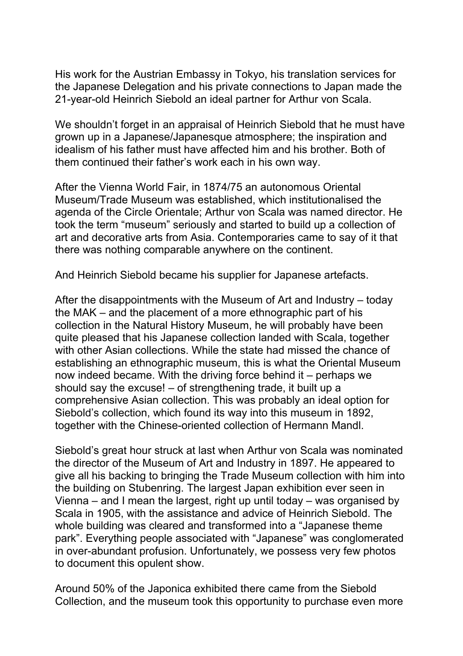His work for the Austrian Embassy in Tokyo, his translation services for the Japanese Delegation and his private connections to Japan made the 21-year-old Heinrich Siebold an ideal partner for Arthur von Scala.

We shouldn't forget in an appraisal of Heinrich Siebold that he must have grown up in a Japanese/Japanesque atmosphere; the inspiration and idealism of his father must have affected him and his brother. Both of them continued their father's work each in his own way.

After the Vienna World Fair, in 1874/75 an autonomous Oriental Museum/Trade Museum was established, which institutionalised the agenda of the Circle Orientale; Arthur von Scala was named director. He took the term "museum" seriously and started to build up a collection of art and decorative arts from Asia. Contemporaries came to say of it that there was nothing comparable anywhere on the continent.

And Heinrich Siebold became his supplier for Japanese artefacts.

After the disappointments with the Museum of Art and Industry – today the MAK – and the placement of a more ethnographic part of his collection in the Natural History Museum, he will probably have been quite pleased that his Japanese collection landed with Scala, together with other Asian collections. While the state had missed the chance of establishing an ethnographic museum, this is what the Oriental Museum now indeed became. With the driving force behind it – perhaps we should say the excuse! – of strengthening trade, it built up a comprehensive Asian collection. This was probably an ideal option for Siebold's collection, which found its way into this museum in 1892, together with the Chinese-oriented collection of Hermann Mandl.

Siebold's great hour struck at last when Arthur von Scala was nominated the director of the Museum of Art and Industry in 1897. He appeared to give all his backing to bringing the Trade Museum collection with him into the building on Stubenring. The largest Japan exhibition ever seen in Vienna – and I mean the largest, right up until today – was organised by Scala in 1905, with the assistance and advice of Heinrich Siebold. The whole building was cleared and transformed into a "Japanese theme park". Everything people associated with "Japanese" was conglomerated in over-abundant profusion. Unfortunately, we possess very few photos to document this opulent show.

Around 50% of the Japonica exhibited there came from the Siebold Collection, and the museum took this opportunity to purchase even more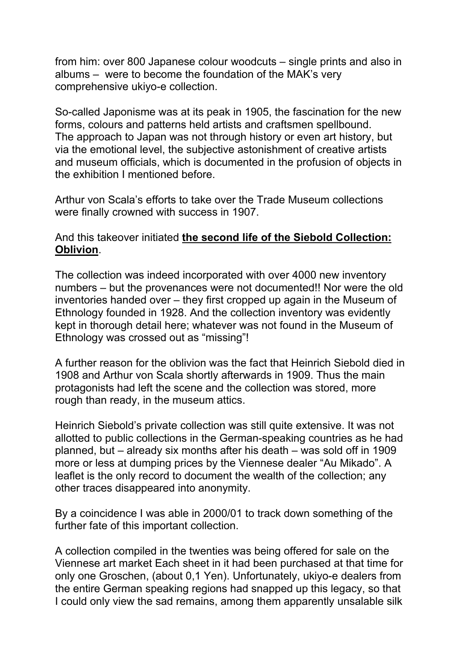from him: over 800 Japanese colour woodcuts – single prints and also in albums – were to become the foundation of the MAK's very comprehensive ukiyo-e collection.

So-called Japonisme was at its peak in 1905, the fascination for the new forms, colours and patterns held artists and craftsmen spellbound. The approach to Japan was not through history or even art history, but via the emotional level, the subjective astonishment of creative artists and museum officials, which is documented in the profusion of objects in the exhibition I mentioned before.

Arthur von Scala's efforts to take over the Trade Museum collections were finally crowned with success in 1907.

## And this takeover initiated **the second life of the Siebold Collection: Oblivion**.

The collection was indeed incorporated with over 4000 new inventory numbers – but the provenances were not documented!! Nor were the old inventories handed over – they first cropped up again in the Museum of Ethnology founded in 1928. And the collection inventory was evidently kept in thorough detail here; whatever was not found in the Museum of Ethnology was crossed out as "missing"!

A further reason for the oblivion was the fact that Heinrich Siebold died in 1908 and Arthur von Scala shortly afterwards in 1909. Thus the main protagonists had left the scene and the collection was stored, more rough than ready, in the museum attics.

Heinrich Siebold's private collection was still quite extensive. It was not allotted to public collections in the German-speaking countries as he had planned, but – already six months after his death – was sold off in 1909 more or less at dumping prices by the Viennese dealer "Au Mikado". A leaflet is the only record to document the wealth of the collection; any other traces disappeared into anonymity.

By a coincidence I was able in 2000/01 to track down something of the further fate of this important collection.

A collection compiled in the twenties was being offered for sale on the Viennese art market Each sheet in it had been purchased at that time for only one Groschen, (about 0,1 Yen). Unfortunately, ukiyo-e dealers from the entire German speaking regions had snapped up this legacy, so that I could only view the sad remains, among them apparently unsalable silk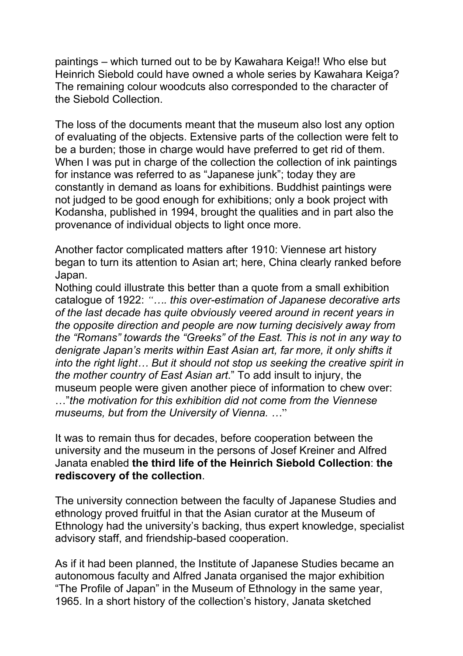paintings – which turned out to be by Kawahara Keiga!! Who else but Heinrich Siebold could have owned a whole series by Kawahara Keiga? The remaining colour woodcuts also corresponded to the character of the Siebold Collection.

The loss of the documents meant that the museum also lost any option of evaluating of the objects. Extensive parts of the collection were felt to be a burden; those in charge would have preferred to get rid of them. When I was put in charge of the collection the collection of ink paintings for instance was referred to as "Japanese junk"; today they are constantly in demand as loans for exhibitions. Buddhist paintings were not judged to be good enough for exhibitions; only a book project with Kodansha, published in 1994, brought the qualities and in part also the provenance of individual objects to light once more.

Another factor complicated matters after 1910: Viennese art history began to turn its attention to Asian art; here, China clearly ranked before Japan.

Nothing could illustrate this better than a quote from a small exhibition catalogue of 1922: *"…. this over-estimation of Japanese decorative arts of the last decade has quite obviously veered around in recent years in the opposite direction and people are now turning decisively away from the "Romans" towards the "Greeks" of the East. This is not in any way to denigrate Japan's merits within East Asian art, far more, it only shifts it into the right light… But it should not stop us seeking the creative spirit in the mother country of East Asian art*." To add insult to injury, the museum people were given another piece of information to chew over: …"*the motivation for this exhibition did not come from the Viennese museums, but from the University of Vienna. …*"

It was to remain thus for decades, before cooperation between the university and the museum in the persons of Josef Kreiner and Alfred Janata enabled **the third life of the Heinrich Siebold Collection**: **the rediscovery of the collection**.

The university connection between the faculty of Japanese Studies and ethnology proved fruitful in that the Asian curator at the Museum of Ethnology had the university's backing, thus expert knowledge, specialist advisory staff, and friendship-based cooperation.

As if it had been planned, the Institute of Japanese Studies became an autonomous faculty and Alfred Janata organised the major exhibition "The Profile of Japan" in the Museum of Ethnology in the same year, 1965. In a short history of the collection's history, Janata sketched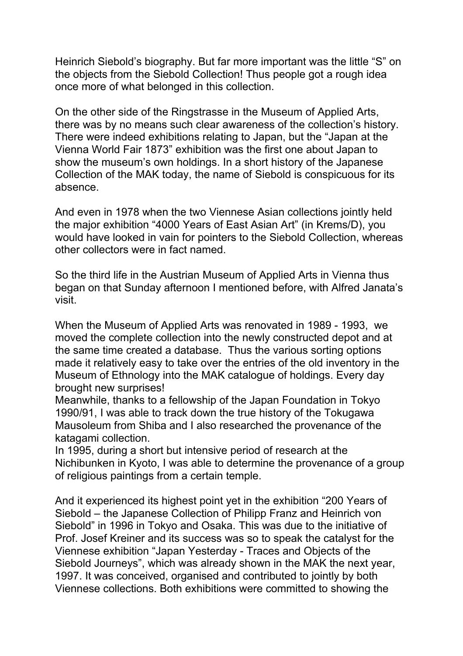Heinrich Siebold's biography. But far more important was the little "S" on the objects from the Siebold Collection! Thus people got a rough idea once more of what belonged in this collection.

On the other side of the Ringstrasse in the Museum of Applied Arts, there was by no means such clear awareness of the collection's history. There were indeed exhibitions relating to Japan, but the "Japan at the Vienna World Fair 1873" exhibition was the first one about Japan to show the museum's own holdings. In a short history of the Japanese Collection of the MAK today, the name of Siebold is conspicuous for its absence.

And even in 1978 when the two Viennese Asian collections jointly held the major exhibition "4000 Years of East Asian Art" (in Krems/D), you would have looked in vain for pointers to the Siebold Collection, whereas other collectors were in fact named.

So the third life in the Austrian Museum of Applied Arts in Vienna thus began on that Sunday afternoon I mentioned before, with Alfred Janata's visit.

When the Museum of Applied Arts was renovated in 1989 - 1993, we moved the complete collection into the newly constructed depot and at the same time created a database. Thus the various sorting options made it relatively easy to take over the entries of the old inventory in the Museum of Ethnology into the MAK catalogue of holdings. Every day brought new surprises!

Meanwhile, thanks to a fellowship of the Japan Foundation in Tokyo 1990/91, I was able to track down the true history of the Tokugawa Mausoleum from Shiba and I also researched the provenance of the katagami collection.

In 1995, during a short but intensive period of research at the Nichibunken in Kyoto, I was able to determine the provenance of a group of religious paintings from a certain temple.

And it experienced its highest point yet in the exhibition "200 Years of Siebold – the Japanese Collection of Philipp Franz and Heinrich von Siebold" in 1996 in Tokyo and Osaka. This was due to the initiative of Prof. Josef Kreiner and its success was so to speak the catalyst for the Viennese exhibition "Japan Yesterday - Traces and Objects of the Siebold Journeys", which was already shown in the MAK the next year, 1997. It was conceived, organised and contributed to jointly by both Viennese collections. Both exhibitions were committed to showing the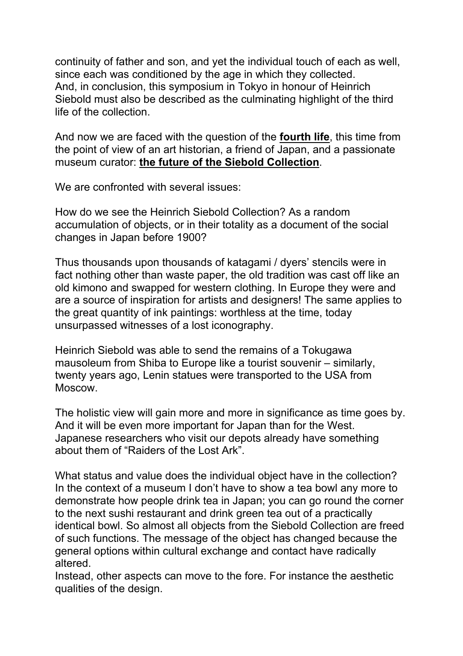continuity of father and son, and yet the individual touch of each as well, since each was conditioned by the age in which they collected. And, in conclusion, this symposium in Tokyo in honour of Heinrich Siebold must also be described as the culminating highlight of the third life of the collection.

And now we are faced with the question of the **fourth life**, this time from the point of view of an art historian, a friend of Japan, and a passionate museum curator: **the future of the Siebold Collection**.

We are confronted with several issues:

How do we see the Heinrich Siebold Collection? As a random accumulation of objects, or in their totality as a document of the social changes in Japan before 1900?

Thus thousands upon thousands of katagami / dyers' stencils were in fact nothing other than waste paper, the old tradition was cast off like an old kimono and swapped for western clothing. In Europe they were and are a source of inspiration for artists and designers! The same applies to the great quantity of ink paintings: worthless at the time, today unsurpassed witnesses of a lost iconography.

Heinrich Siebold was able to send the remains of a Tokugawa mausoleum from Shiba to Europe like a tourist souvenir – similarly, twenty years ago, Lenin statues were transported to the USA from Moscow.

The holistic view will gain more and more in significance as time goes by. And it will be even more important for Japan than for the West. Japanese researchers who visit our depots already have something about them of "Raiders of the Lost Ark".

What status and value does the individual object have in the collection? In the context of a museum I don't have to show a tea bowl any more to demonstrate how people drink tea in Japan; you can go round the corner to the next sushi restaurant and drink green tea out of a practically identical bowl. So almost all objects from the Siebold Collection are freed of such functions. The message of the object has changed because the general options within cultural exchange and contact have radically altered.

Instead, other aspects can move to the fore. For instance the aesthetic qualities of the design.